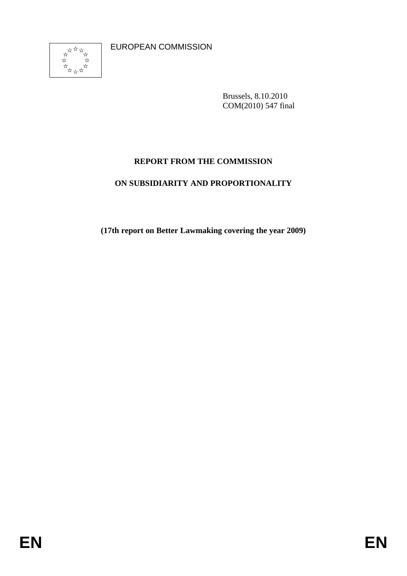EUROPEAN COMMISSION



Brussels, 8.10.2010 COM(2010) 547 final

## **REPORT FROM THE COMMISSION**

### **ON SUBSIDIARITY AND PROPORTIONALITY**

**(17th report on Better Lawmaking covering the year 2009)**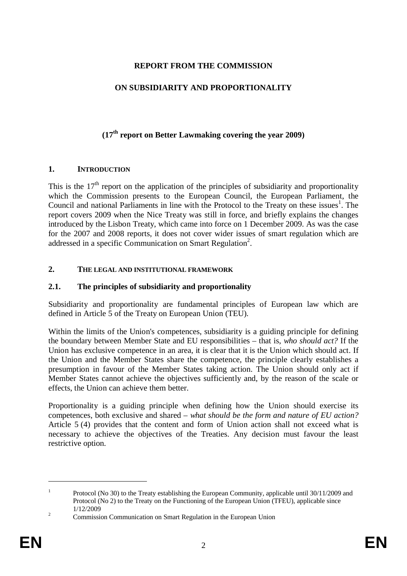### **REPORT FROM THE COMMISSION**

### **ON SUBSIDIARITY AND PROPORTIONALITY**

# **(17th report on Better Lawmaking covering the year 2009)**

#### **1. INTRODUCTION**

This is the  $17<sup>th</sup>$  report on the application of the principles of subsidiarity and proportionality which the Commission presents to the European Council, the European Parliament, the Council and national Parliaments in line with the Protocol to the Treaty on these issues<sup>1</sup>. The report covers 2009 when the Nice Treaty was still in force, and briefly explains the changes introduced by the Lisbon Treaty, which came into force on 1 December 2009. As was the case for the 2007 and 2008 reports, it does not cover wider issues of smart regulation which are addressed in a specific Communication on Smart Regulation<sup>2</sup>.

### **2. THE LEGAL AND INSTITUTIONAL FRAMEWORK**

### **2.1. The principles of subsidiarity and proportionality**

Subsidiarity and proportionality are fundamental principles of European law which are defined in Article 5 of the Treaty on European Union (TEU).

Within the limits of the Union's competences, subsidiarity is a guiding principle for defining the boundary between Member State and EU responsibilities – that is, *who should act?* If the Union has exclusive competence in an area, it is clear that it is the Union which should act. If the Union and the Member States share the competence, the principle clearly establishes a presumption in favour of the Member States taking action. The Union should only act if Member States cannot achieve the objectives sufficiently and, by the reason of the scale or effects, the Union can achieve them better.

Proportionality is a guiding principle when defining how the Union should exercise its competences, both exclusive and shared – *what should be the form and nature of EU action?* Article 5 (4) provides that the content and form of Union action shall not exceed what is necessary to achieve the objectives of the Treaties. Any decision must favour the least restrictive option.

<sup>1</sup> Protocol (No 30) to the Treaty establishing the European Community, applicable until 30/11/2009 and Protocol (No 2) to the Treaty on the Functioning of the European Union (TFEU), applicable since 1/12/2009

<sup>&</sup>lt;sup>2</sup> Commission Communication on Smart Regulation in the European Union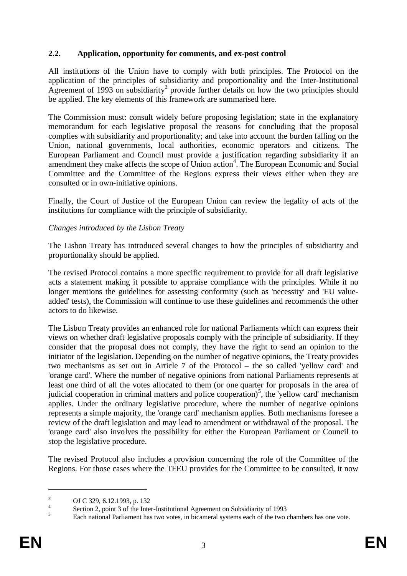#### **2.2. Application, opportunity for comments, and ex-post control**

All institutions of the Union have to comply with both principles. The Protocol on the application of the principles of subsidiarity and proportionality and the Inter-Institutional Agreement of 1993 on subsidiarity 3 provide further details on how the two principles should be applied. The key elements of this framework are summarised here.

The Commission must: consult widely before proposing legislation; state in the explanatory memorandum for each legislative proposal the reasons for concluding that the proposal complies with subsidiarity and proportionality; and take into account the burden falling on the Union, national governments, local authorities, economic operators and citizens. The European Parliament and Council must provide a justification regarding subsidiarity if an amendment they make affects the scope of Union action<sup>4</sup>. The European Economic and Social Committee and the Committee of the Regions express their views either when they are consulted or in own-initiative opinions.

Finally, the Court of Justice of the European Union can review the legality of acts of the institutions for compliance with the principle of subsidiarity.

#### *Changes introduced by the Lisbon Treaty*

The Lisbon Treaty has introduced several changes to how the principles of subsidiarity and proportionality should be applied.

The revised Protocol contains a more specific requirement to provide for all draft legislative acts a statement making it possible to appraise compliance with the principles. While it no longer mentions the guidelines for assessing conformity (such as 'necessity' and 'EU valueadded' tests), the Commission will continue to use these guidelines and recommends the other actors to do likewise.

The Lisbon Treaty provides an enhanced role for national Parliaments which can express their views on whether draft legislative proposals comply with the principle of subsidiarity. If they consider that the proposal does not comply, they have the right to send an opinion to the initiator of the legislation. Depending on the number of negative opinions, the Treaty provides two mechanisms as set out in Article 7 of the Protocol – the so called 'yellow card' and 'orange card'. Where the number of negative opinions from national Parliaments represents at least one third of all the votes allocated to them (or one quarter for proposals in the area of judicial cooperation in criminal matters and police cooperation)<sup>5</sup>, the 'yellow card' mechanism applies. Under the ordinary legislative procedure, where the number of negative opinions represents a simple majority, the 'orange card' mechanism applies. Both mechanisms foresee a review of the draft legislation and may lead to amendment or withdrawal of the proposal. The 'orange card' also involves the possibility for either the European Parliament or Council to stop the legislative procedure.

The revised Protocol also includes a provision concerning the role of the Committee of the Regions. For those cases where the TFEU provides for the Committee to be consulted, it now

<sup>3</sup> OJ C 329, 6.12.1993, p. 132

<sup>4</sup> Section 2, point 3 of the Inter-Institutional Agreement on Subsidiarity of 1993

<sup>&</sup>lt;sup>5</sup> Each national Parliament has two votes, in bicameral systems each of the two chambers has one vote.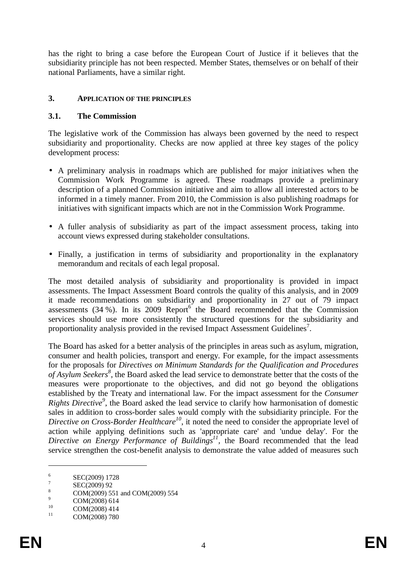has the right to bring a case before the European Court of Justice if it believes that the subsidiarity principle has not been respected. Member States, themselves or on behalf of their national Parliaments, have a similar right.

#### **3. APPLICATION OF THE PRINCIPLES**

#### **3.1. The Commission**

The legislative work of the Commission has always been governed by the need to respect subsidiarity and proportionality. Checks are now applied at three key stages of the policy development process:

- A preliminary analysis in roadmaps which are published for major initiatives when the Commission Work Programme is agreed. These roadmaps provide a preliminary description of a planned Commission initiative and aim to allow all interested actors to be informed in a timely manner. From 2010, the Commission is also publishing roadmaps for initiatives with significant impacts which are not in the Commission Work Programme.
- A fuller analysis of subsidiarity as part of the impact assessment process, taking into account views expressed during stakeholder consultations.
- Finally, a justification in terms of subsidiarity and proportionality in the explanatory memorandum and recitals of each legal proposal.

The most detailed analysis of subsidiarity and proportionality is provided in impact assessments. The Impact Assessment Board controls the quality of this analysis, and in 2009 it made recommendations on subsidiarity and proportionality in 27 out of 79 impact assessments  $(34\%)$ . In its 2009 Report<sup>6</sup> the Board recommended that the Commission services should use more consistently the structured questions for the subsidiarity and proportionality analysis provided in the revised Impact Assessment Guidelines<sup>7</sup>.

The Board has asked for a better analysis of the principles in areas such as asylum, migration, consumer and health policies, transport and energy. For example, for the impact assessments for the proposals for *Directives on Minimum Standards for the Qualification and Procedures of Asylum Seekers<sup>8</sup>* , the Board asked the lead service to demonstrate better that the costs of the measures were proportionate to the objectives, and did not go beyond the obligations established by the Treaty and international law. For the impact assessment for the *Consumer Rights Directive<sup>9</sup>* , the Board asked the lead service to clarify how harmonisation of domestic sales in addition to cross-border sales would comply with the subsidiarity principle. For the Directive on Cross-Border Healthcare<sup>10</sup>, it noted the need to consider the appropriate level of action while applying definitions such as 'appropriate care' and 'undue delay'. For the Directive on Energy Performance of Buildings<sup>11</sup>, the Board recommended that the lead service strengthen the cost-benefit analysis to demonstrate the value added of measures such

<sup>6</sup> SEC(2009) 1728

<sup>7</sup> SEC(2009) 92

 $\frac{8}{9}$  COM(2009) 551 and COM(2009) 554

 $\frac{9}{10}$  COM(2008) 614

 $10$  COM(2008) 414

COM(2008) 780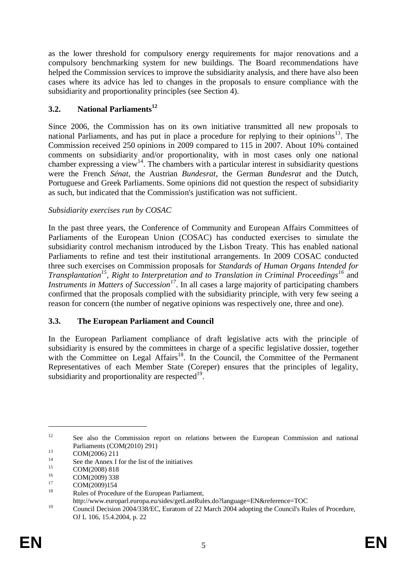as the lower threshold for compulsory energy requirements for major renovations and a compulsory benchmarking system for new buildings. The Board recommendations have helped the Commission services to improve the subsidiarity analysis, and there have also been cases where its advice has led to changes in the proposals to ensure compliance with the subsidiarity and proportionality principles (see Section 4).

## **3.2. National Parliaments<sup>12</sup>**

Since 2006, the Commission has on its own initiative transmitted all new proposals to national Parliaments, and has put in place a procedure for replying to their opinions<sup>13</sup>. The Commission received 250 opinions in 2009 compared to 115 in 2007. About 10% contained comments on subsidiarity and/or proportionality, with in most cases only one national chamber expressing a view<sup>14</sup>. The chambers with a particular interest in subsidiarity questions were the French *Sénat,* the Austrian *Bundesrat*, the German *Bundesrat* and the Dutch, Portuguese and Greek Parliaments. Some opinions did not question the respect of subsidiarity as such, but indicated that the Commission's justification was not sufficient.

## *Subsidiarity exercises run by COSAC*

In the past three years, the Conference of Community and European Affairs Committees of Parliaments of the European Union (COSAC) has conducted exercises to simulate the subsidiarity control mechanism introduced by the Lisbon Treaty. This has enabled national Parliaments to refine and test their institutional arrangements. In 2009 COSAC conducted three such exercises on Commission proposals for *Standards of Human Organs Intended for Transplantation<sup>15</sup>* , *Right to Interpretation and to Translation in Criminal Proceedings<sup>16</sup>* and *Instruments in Matters of Succession<sup>17</sup>* . In all cases a large majority of participating chambers confirmed that the proposals complied with the subsidiarity principle, with very few seeing a reason for concern (the number of negative opinions was respectively one, three and one).

## **3.3. The European Parliament and Council**

In the European Parliament compliance of draft legislative acts with the principle of subsidiarity is ensured by the committees in charge of a specific legislative dossier, together with the Committee on Legal Affairs<sup>18</sup>. In the Council, the Committee of the Permanent Representatives of each Member State (Coreper) ensures that the principles of legality, subsidiarity and proportionality are respected $19$ .

<sup>&</sup>lt;sup>12</sup> See also the Commission report on relations between the European Commission and national Parliaments (COM(2010) 291)

 $13$  COM(2006) 211

<sup>&</sup>lt;sup>14</sup> See the Annex I for the list of the initiatives

 $15$  COM(2008) 818

 $16$  COM(2009) 338

 $\frac{17}{18}$  COM(2009)154

Rules of Procedure of the European Parliament,

http://www.europarl.europa.eu/sides/getLastRules.do?language=EN&reference=TOC

<sup>19</sup> Council Decision 2004/338/EC, Euratom of 22 March 2004 adopting the Council's Rules of Procedure, OJ L 106, 15.4.2004, p. 22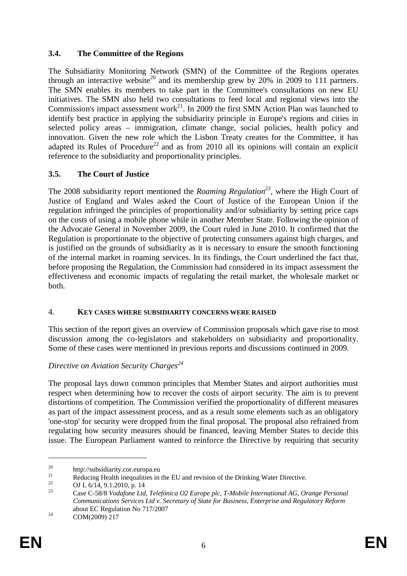### **3.4. The Committee of the Regions**

The Subsidiarity Monitoring Network (SMN) of the Committee of the Regions operates through an interactive website<sup>20</sup> and its membership grew by 20% in 2009 to 111 partners. The SMN enables its members to take part in the Committee's consultations on new EU initiatives. The SMN also held two consultations to feed local and regional views into the Commission's impact assessment work<sup>21</sup>. In 2009 the first SMN Action Plan was launched to identify best practice in applying the subsidiarity principle in Europe's regions and cities in selected policy areas – immigration, climate change, social policies, health policy and innovation. Given the new role which the Lisbon Treaty creates for the Committee, it has adapted its Rules of Procedure<sup>22</sup> and as from 2010 all its opinions will contain an explicit reference to the subsidiarity and proportionality principles.

## **3.5. The Court of Justice**

The 2008 subsidiarity report mentioned the *Roaming Regulation<sup>23</sup>* , where the High Court of Justice of England and Wales asked the Court of Justice of the European Union if the regulation infringed the principles of proportionality and/or subsidiarity by setting price caps on the costs of using a mobile phone while in another Member State. Following the opinion of the Advocate General in November 2009, the Court ruled in June 2010. It confirmed that the Regulation is proportionate to the objective of protecting consumers against high charges, and is justified on the grounds of subsidiarity as it is necessary to ensure the smooth functioning of the internal market in roaming services. In its findings, the Court underlined the fact that, before proposing the Regulation, the Commission had considered in its impact assessment the effectiveness and economic impacts of regulating the retail market, the wholesale market or both.

### 4. **KEY CASES WHERE SUBSIDIARITY CONCERNS WERE RAISED**

This section of the report gives an overview of Commission proposals which gave rise to most discussion among the co-legislators and stakeholders on subsidiarity and proportionality. Some of these cases were mentioned in previous reports and discussions continued in 2009.

## *Directive on Aviation Security Charges<sup>24</sup>*

The proposal lays down common principles that Member States and airport authorities must respect when determining how to recover the costs of airport security. The aim is to prevent distortions of competition. The Commission verified the proportionality of different measures as part of the impact assessment process, and as a result some elements such as an obligatory 'one-stop' for security were dropped from the final proposal. The proposal also refrained from regulating how security measures should be financed, leaving Member States to decide this issue. The European Parliament wanted to reinforce the Directive by requiring that security

 $20$  http://subsidiarity.cor.europa.eu

<sup>&</sup>lt;sup>21</sup> Reducing Health inequalities in the EU and revision of the Drinking Water Directive.<br>
<sup>22</sup> CH  $(14.0.12010 - 14)$ 

<sup>&</sup>lt;sup>22</sup> OJ L 6/14, 9.1.2010, p. 14

<sup>23</sup> Case C-58/8 *Vodafone Ltd, Telefónica O2 Europe plc, T-Mobile International AG, Orange Personal Communications Services Ltd v. Secretary of State for Business, Enterprise and Regulatory Reform* about EC Regulation No 717/2007

 $^{24}$  COM(2009) 217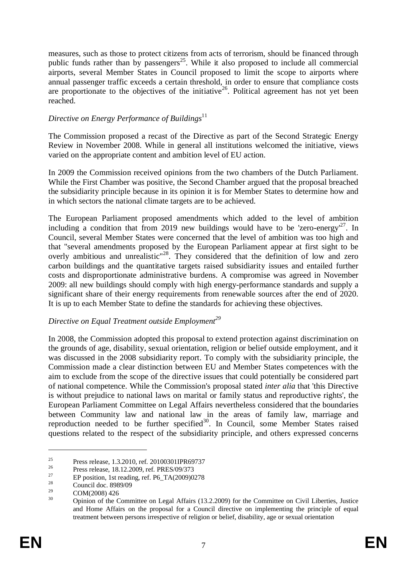measures, such as those to protect citizens from acts of terrorism, should be financed through public funds rather than by passengers<sup>25</sup>. While it also proposed to include all commercial airports, several Member States in Council proposed to limit the scope to airports where annual passenger traffic exceeds a certain threshold, in order to ensure that compliance costs are proportionate to the objectives of the initiative<sup>26</sup>. Political agreement has not yet been reached.

#### *Directive on Energy Performance of Buildings*<sup>11</sup>

The Commission proposed a recast of the Directive as part of the Second Strategic Energy Review in November 2008. While in general all institutions welcomed the initiative, views varied on the appropriate content and ambition level of EU action.

In 2009 the Commission received opinions from the two chambers of the Dutch Parliament. While the First Chamber was positive, the Second Chamber argued that the proposal breached the subsidiarity principle because in its opinion it is for Member States to determine how and in which sectors the national climate targets are to be achieved.

The European Parliament proposed amendments which added to the level of ambition including a condition that from 2019 new buildings would have to be 'zero-energy<sup>27</sup>. In Council, several Member States were concerned that the level of ambition was too high and that "several amendments proposed by the European Parliament appear at first sight to be overly ambitious and unrealistic<sup>"28</sup>. They considered that the definition of low and zero carbon buildings and the quantitative targets raised subsidiarity issues and entailed further costs and disproportionate administrative burdens. A compromise was agreed in November 2009: all new buildings should comply with high energy-performance standards and supply a significant share of their energy requirements from renewable sources after the end of 2020. It is up to each Member State to define the standards for achieving these objectives.

### *Directive on Equal Treatment outside Employment<sup>29</sup>*

In 2008, the Commission adopted this proposal to extend protection against discrimination on the grounds of age, disability, sexual orientation, religion or belief outside employment, and it was discussed in the 2008 subsidiarity report. To comply with the subsidiarity principle, the Commission made a clear distinction between EU and Member States competences with the aim to exclude from the scope of the directive issues that could potentially be considered part of national competence. While the Commission's proposal stated *inter alia* that 'this Directive is without prejudice to national laws on marital or family status and reproductive rights', the European Parliament Committee on Legal Affairs nevertheless considered that the boundaries between Community law and national law in the areas of family law, marriage and reproduction needed to be further specified $30$ . In Council, some Member States raised questions related to the respect of the subsidiarity principle, and others expressed concerns

<sup>&</sup>lt;sup>25</sup><br>Press release, 1.3.2010, ref. 20100301IPR69737

 $^{26}$  Press release, 18.12.2009, ref. PRES/09/373

<sup>&</sup>lt;sup>27</sup> EP position, 1st reading, ref. P6\_TA(2009)0278

<sup>&</sup>lt;sup>28</sup> Council doc. 8989/09

 $29 \text{ COM}(2008) 426$ 

<sup>30</sup> Opinion of the Committee on Legal Affairs (13.2.2009) for the Committee on Civil Liberties, Justice and Home Affairs on the proposal for a Council directive on implementing the principle of equal treatment between persons irrespective of religion or belief, disability, age or sexual orientation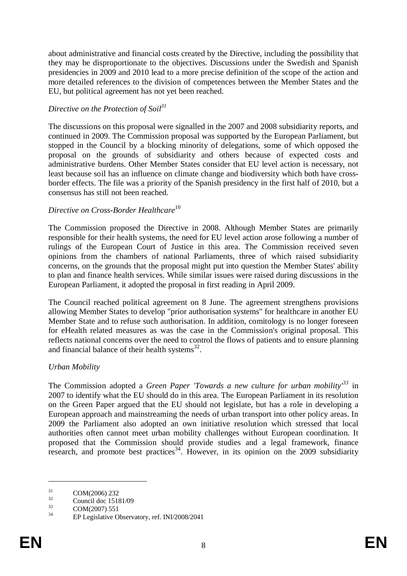about administrative and financial costs created by the Directive, including the possibility that they may be disproportionate to the objectives. Discussions under the Swedish and Spanish presidencies in 2009 and 2010 lead to a more precise definition of the scope of the action and more detailed references to the division of competences between the Member States and the EU, but political agreement has not yet been reached.

## *Directive on the Protection of Soil<sup>31</sup>*

The discussions on this proposal were signalled in the 2007 and 2008 subsidiarity reports, and continued in 2009. The Commission proposal was supported by the European Parliament, but stopped in the Council by a blocking minority of delegations, some of which opposed the proposal on the grounds of subsidiarity and others because of expected costs and administrative burdens. Other Member States consider that EU level action is necessary, not least because soil has an influence on climate change and biodiversity which both have crossborder effects. The file was a priority of the Spanish presidency in the first half of 2010, but a consensus has still not been reached.

### *Directive on Cross-Border Healthcare*<sup>10</sup>

The Commission proposed the Directive in 2008. Although Member States are primarily responsible for their health systems, the need for EU level action arose following a number of rulings of the European Court of Justice in this area. The Commission received seven opinions from the chambers of national Parliaments, three of which raised subsidiarity concerns, on the grounds that the proposal might put into question the Member States' ability to plan and finance health services. While similar issues were raised during discussions in the European Parliament, it adopted the proposal in first reading in April 2009.

The Council reached political agreement on 8 June. The agreement strengthens provisions allowing Member States to develop "prior authorisation systems" for healthcare in another EU Member State and to refuse such authorisation. In addition, comitology is no longer foreseen for eHealth related measures as was the case in the Commission's original proposal. This reflects national concerns over the need to control the flows of patients and to ensure planning and financial balance of their health systems $^{32}$ .

### *Urban Mobility*

The Commission adopted a *Green Paper 'Towards a new culture for urban mobility' <sup>33</sup>* in 2007 to identify what the EU should do in this area. The European Parliament in its resolution on the Green Paper argued that the EU should not legislate, but has a role in developing a European approach and mainstreaming the needs of urban transport into other policy areas. In 2009 the Parliament also adopted an own initiative resolution which stressed that local authorities often cannot meet urban mobility challenges without European coordination. It proposed that the Commission should provide studies and a legal framework, finance research, and promote best practices<sup>34</sup>. However, in its opinion on the 2009 subsidiarity

 $\frac{31}{32}$  COM(2006) 232

 $\frac{32}{33}$  Council doc 15181/09

 $\frac{33}{34}$  COM(2007) 551

EP Legislative Observatory, ref. INI/2008/2041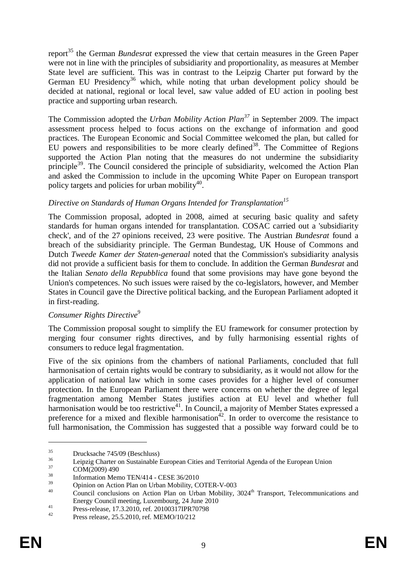report<sup>35</sup> the German *Bundesrat* expressed the view that certain measures in the Green Paper were not in line with the principles of subsidiarity and proportionality, as measures at Member State level are sufficient. This was in contrast to the Leipzig Charter put forward by the German EU Presidency<sup>36</sup> which, while noting that urban development policy should be decided at national, regional or local level, saw value added of EU action in pooling best practice and supporting urban research.

The Commission adopted the *Urban Mobility Action Plan<sup>37</sup>* in September 2009. The impact assessment process helped to focus actions on the exchange of information and good practices. The European Economic and Social Committee welcomed the plan, but called for EU powers and responsibilities to be more clearly defined<sup>38</sup>. The Committee of Regions supported the Action Plan noting that the measures do not undermine the subsidiarity principle<sup>39</sup>. The Council considered the principle of subsidiarity, welcomed the Action Plan and asked the Commission to include in the upcoming White Paper on European transport policy targets and policies for urban mobility<sup>40</sup>.

## *Directive on Standards of Human Organs Intended for Transplantation<sup>15</sup>*

The Commission proposal, adopted in 2008, aimed at securing basic quality and safety standards for human organs intended for transplantation. COSAC carried out a 'subsidiarity check', and of the 27 opinions received, 23 were positive. The Austrian *Bundesrat* found a breach of the subsidiarity principle. The German Bundestag, UK House of Commons and Dutch *Tweede Kamer der Staten-generaal* noted that the Commission's subsidiarity analysis did not provide a sufficient basis for them to conclude. In addition the German *Bundesrat* and the Italian *Senato della Repubblica* found that some provisions may have gone beyond the Union's competences. No such issues were raised by the co-legislators, however, and Member States in Council gave the Directive political backing, and the European Parliament adopted it in first-reading.

### *Consumer Rights Directive*<sup>9</sup>

The Commission proposal sought to simplify the EU framework for consumer protection by merging four consumer rights directives, and by fully harmonising essential rights of consumers to reduce legal fragmentation.

Five of the six opinions from the chambers of national Parliaments, concluded that full harmonisation of certain rights would be contrary to subsidiarity, as it would not allow for the application of national law which in some cases provides for a higher level of consumer protection. In the European Parliament there were concerns on whether the degree of legal fragmentation among Member States justifies action at EU level and whether full harmonisation would be too restrictive<sup>41</sup>. In Council, a majority of Member States expressed a preference for a mixed and flexible harmonisation<sup>42</sup>. In order to overcome the resistance to full harmonisation, the Commission has suggested that a possible way forward could be to

 $35$  Drucksache 745/09 (Beschluss)

<sup>&</sup>lt;sup>36</sup> Leipzig Charter on Sustainable European Cities and Territorial Agenda of the European Union<br><sup>37</sup> COM(2000) 400

 $\frac{37}{38}$  COM(2009) 490

 $\frac{38}{39}$  Information Memo TEN/414 - CESE 36/2010

 $\frac{39}{40}$  Opinion on Action Plan on Urban Mobility, COTER-V-003

Council conclusions on Action Plan on Urban Mobility, 3024<sup>th</sup> Transport, Telecommunications and Energy Council meeting, Luxembourg, 24 June 2010

At Press-release, 17.3.2010, ref. 20100317IPR70798<br>Press-release, 17.3.2010, ref. 20100317IPR70798

<sup>42</sup> Press release, 25.5.2010, ref. MEMO/10/212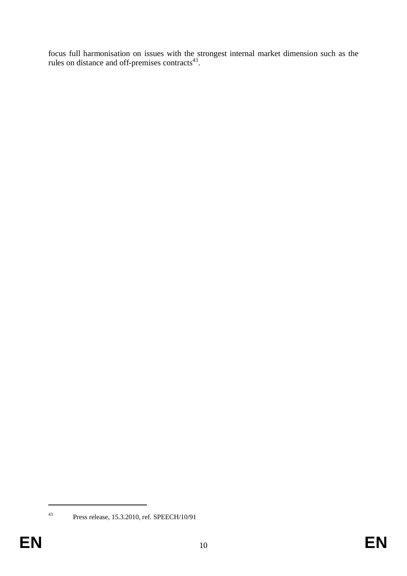focus full harmonisation on issues with the strongest internal market dimension such as the rules on distance and off-premises contracts<sup>43</sup>.

<sup>43</sup> Press release, 15.3.2010, ref. SPEECH/10/91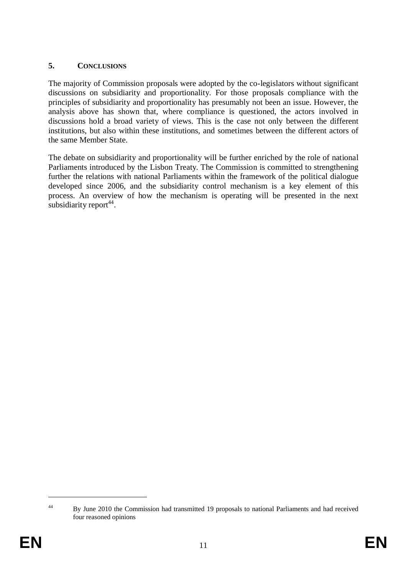### **5. CONCLUSIONS**

The majority of Commission proposals were adopted by the co-legislators without significant discussions on subsidiarity and proportionality. For those proposals compliance with the principles of subsidiarity and proportionality has presumably not been an issue. However, the analysis above has shown that, where compliance is questioned, the actors involved in discussions hold a broad variety of views. This is the case not only between the different institutions, but also within these institutions, and sometimes between the different actors of the same Member State.

The debate on subsidiarity and proportionality will be further enriched by the role of national Parliaments introduced by the Lisbon Treaty. The Commission is committed to strengthening further the relations with national Parliaments within the framework of the political dialogue developed since 2006, and the subsidiarity control mechanism is a key element of this process. An overview of how the mechanism is operating will be presented in the next subsidiarity report<sup>44</sup>.

<sup>&</sup>lt;sup>44</sup> By June 2010 the Commission had transmitted 19 proposals to national Parliaments and had received four reasoned opinions